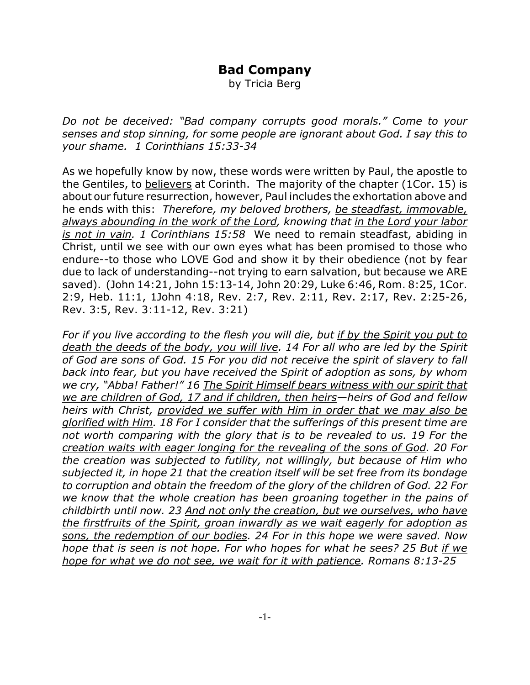## **Bad Company**

by Tricia Berg

*Do not be deceived: "Bad company corrupts good morals." Come to your senses and stop sinning, for some people are ignorant about God. I say this to your shame. 1 Corinthians 15:33-34*

As we hopefully know by now, these words were written by Paul, the apostle to the Gentiles, to believers at Corinth. The majority of the chapter (1Cor. 15) is about our future resurrection, however, Paul includes the exhortation above and he ends with this: *Therefore, my beloved brothers, be steadfast, immovable, always abounding in the work of the Lord, knowing that in the Lord your labor is not in vain. 1 Corinthians 15:58* We need to remain steadfast, abiding in Christ, until we see with our own eyes what has been promised to those who endure--to those who LOVE God and show it by their obedience (not by fear due to lack of understanding--not trying to earn salvation, but because we ARE saved). (John 14:21, John 15:13-14, John 20:29, Luke 6:46, Rom. 8:25, 1Cor. 2:9, Heb. 11:1, 1John 4:18, Rev. 2:7, Rev. 2:11, Rev. 2:17, Rev. 2:25-26, Rev. 3:5, Rev. 3:11-12, Rev. 3:21)

*For if you live according to the flesh you will die, but if by the Spirit you put to death the deeds of the body, you will live. 14 For all who are led by the Spirit of God are sons of God. 15 For you did not receive the spirit of slavery to fall back into fear, but you have received the Spirit of adoption as sons, by whom we cry, "Abba! Father!" 16 The Spirit Himself bears witness with our spirit that we are children of God, 17 and if children, then heirs—heirs of God and fellow heirs with Christ, provided we suffer with Him in order that we may also be glorified with Him. 18 For I consider that the sufferings of this present time are not worth comparing with the glory that is to be revealed to us. 19 For the creation waits with eager longing for the revealing of the sons of God. 20 For the creation was subjected to futility, not willingly, but because of Him who subjected it, in hope 21 that the creation itself will be set free from its bondage to corruption and obtain the freedom of the glory of the children of God. 22 For we know that the whole creation has been groaning together in the pains of childbirth until now. 23 And not only the creation, but we ourselves, who have the firstfruits of the Spirit, groan inwardly as we wait eagerly for adoption as sons, the redemption of our bodies. 24 For in this hope we were saved. Now hope that is seen is not hope. For who hopes for what he sees? 25 But if we hope for what we do not see, we wait for it with patience. Romans 8:13-25*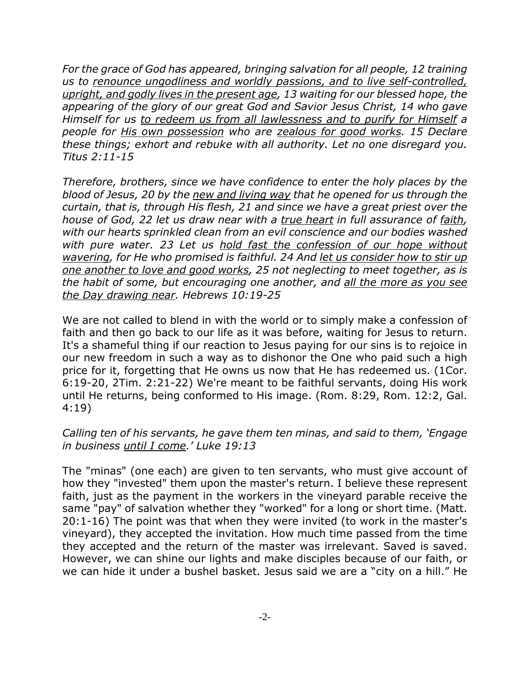*For the grace of God has appeared, bringing salvation for all people, 12 training us to renounce ungodliness and worldly passions, and to live self-controlled, upright, and godly lives in the present age, 13 waiting for our blessed hope, the appearing of the glory of our great God and Savior Jesus Christ, 14 who gave Himself for us to redeem us from all lawlessness and to purify for Himself a people for His own possession who are zealous for good works. 15 Declare these things; exhort and rebuke with all authority. Let no one disregard you. Titus 2:11-15*

*Therefore, brothers, since we have confidence to enter the holy places by the blood of Jesus, 20 by the new and living way that he opened for us through the curtain, that is, through His flesh, 21 and since we have a great priest over the house of God, 22 let us draw near with a true heart in full assurance of faith, with our hearts sprinkled clean from an evil conscience and our bodies washed with pure water. 23 Let us hold fast the confession of our hope without wavering, for He who promised is faithful. 24 And let us consider how to stir up one another to love and good works, 25 not neglecting to meet together, as is the habit of some, but encouraging one another, and all the more as you see the Day drawing near. Hebrews 10:19-25*

We are not called to blend in with the world or to simply make a confession of faith and then go back to our life as it was before, waiting for Jesus to return. It's a shameful thing if our reaction to Jesus paying for our sins is to rejoice in our new freedom in such a way as to dishonor the One who paid such a high price for it, forgetting that He owns us now that He has redeemed us. (1Cor. 6:19-20, 2Tim. 2:21-22) We're meant to be faithful servants, doing His work until He returns, being conformed to His image. (Rom. 8:29, Rom. 12:2, Gal. 4:19)

## *Calling ten of his servants, he gave them ten minas, and said to them, 'Engage in business until I come.' Luke 19:13*

The "minas" (one each) are given to ten servants, who must give account of how they "invested" them upon the master's return. I believe these represent faith, just as the payment in the workers in the vineyard parable receive the same "pay" of salvation whether they "worked" for a long or short time. (Matt. 20:1-16) The point was that when they were invited (to work in the master's vineyard), they accepted the invitation. How much time passed from the time they accepted and the return of the master was irrelevant. Saved is saved. However, we can shine our lights and make disciples because of our faith, or we can hide it under a bushel basket. Jesus said we are a "city on a hill." He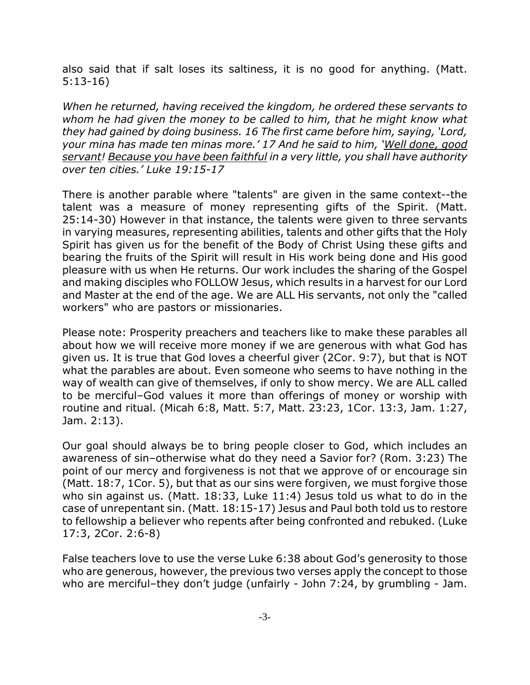also said that if salt loses its saltiness, it is no good for anything. (Matt. 5:13-16)

*When he returned, having received the kingdom, he ordered these servants to whom he had given the money to be called to him, that he might know what they had gained by doing business. 16 The first came before him, saying, 'Lord, your mina has made ten minas more.' 17 And he said to him, 'Well done, good servant! Because you have been faithful in a very little, you shall have authority over ten cities.' Luke 19:15-17*

There is another parable where "talents" are given in the same context--the talent was a measure of money representing gifts of the Spirit. (Matt. 25:14-30) However in that instance, the talents were given to three servants in varying measures, representing abilities, talents and other gifts that the Holy Spirit has given us for the benefit of the Body of Christ Using these gifts and bearing the fruits of the Spirit will result in His work being done and His good pleasure with us when He returns. Our work includes the sharing of the Gospel and making disciples who FOLLOW Jesus, which results in a harvest for our Lord and Master at the end of the age. We are ALL His servants, not only the "called workers" who are pastors or missionaries.

Please note: Prosperity preachers and teachers like to make these parables all about how we will receive more money if we are generous with what God has given us. It is true that God loves a cheerful giver (2Cor. 9:7), but that is NOT what the parables are about. Even someone who seems to have nothing in the way of wealth can give of themselves, if only to show mercy. We are ALL called to be merciful–God values it more than offerings of money or worship with routine and ritual. (Micah 6:8, Matt. 5:7, Matt. 23:23, 1Cor. 13:3, Jam. 1:27, Jam. 2:13).

Our goal should always be to bring people closer to God, which includes an awareness of sin–otherwise what do they need a Savior for? (Rom. 3:23) The point of our mercy and forgiveness is not that we approve of or encourage sin (Matt. 18:7, 1Cor. 5), but that as our sins were forgiven, we must forgive those who sin against us. (Matt. 18:33, Luke 11:4) Jesus told us what to do in the case of unrepentant sin. (Matt. 18:15-17) Jesus and Paul both told us to restore to fellowship a believer who repents after being confronted and rebuked. (Luke 17:3, 2Cor. 2:6-8)

False teachers love to use the verse Luke 6:38 about God's generosity to those who are generous, however, the previous two verses apply the concept to those who are merciful–they don't judge (unfairly - John 7:24, by grumbling - Jam.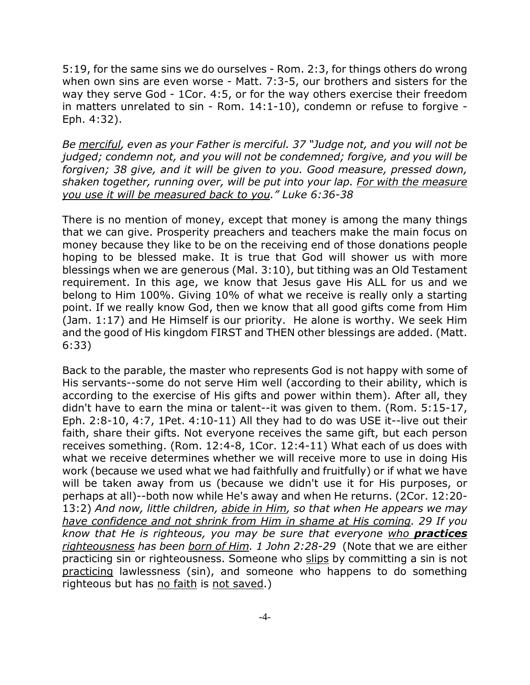5:19, for the same sins we do ourselves - Rom. 2:3, for things others do wrong when own sins are even worse - Matt. 7:3-5, our brothers and sisters for the way they serve God - 1Cor. 4:5, or for the way others exercise their freedom in matters unrelated to sin - Rom. 14:1-10), condemn or refuse to forgive - Eph. 4:32).

*Be merciful, even as your Father is merciful. 37 "Judge not, and you will not be judged; condemn not, and you will not be condemned; forgive, and you will be forgiven; 38 give, and it will be given to you. Good measure, pressed down, shaken together, running over, will be put into your lap. For with the measure you use it will be measured back to you." Luke 6:36-38*

There is no mention of money, except that money is among the many things that we can give. Prosperity preachers and teachers make the main focus on money because they like to be on the receiving end of those donations people hoping to be blessed make. It is true that God will shower us with more blessings when we are generous (Mal. 3:10), but tithing was an Old Testament requirement. In this age, we know that Jesus gave His ALL for us and we belong to Him 100%. Giving 10% of what we receive is really only a starting point. If we really know God, then we know that all good gifts come from Him (Jam. 1:17) and He Himself is our priority. He alone is worthy. We seek Him and the good of His kingdom FIRST and THEN other blessings are added. (Matt. 6:33)

Back to the parable, the master who represents God is not happy with some of His servants--some do not serve Him well (according to their ability, which is according to the exercise of His gifts and power within them). After all, they didn't have to earn the mina or talent--it was given to them. (Rom. 5:15-17, Eph. 2:8-10, 4:7, 1Pet. 4:10-11) All they had to do was USE it--live out their faith, share their gifts. Not everyone receives the same gift, but each person receives something. (Rom. 12:4-8, 1Cor. 12:4-11) What each of us does with what we receive determines whether we will receive more to use in doing His work (because we used what we had faithfully and fruitfully) or if what we have will be taken away from us (because we didn't use it for His purposes, or perhaps at all)--both now while He's away and when He returns. (2Cor. 12:20- 13:2) *And now, little children, abide in Him, so that when He appears we may have confidence and not shrink from Him in shame at His coming. 29 If you know that He is righteous, you may be sure that everyone who practices righteousness has been born of Him. 1 John 2:28-29* (Note that we are either practicing sin or righteousness. Someone who slips by committing a sin is not practicing lawlessness (sin), and someone who happens to do something righteous but has no faith is not saved.)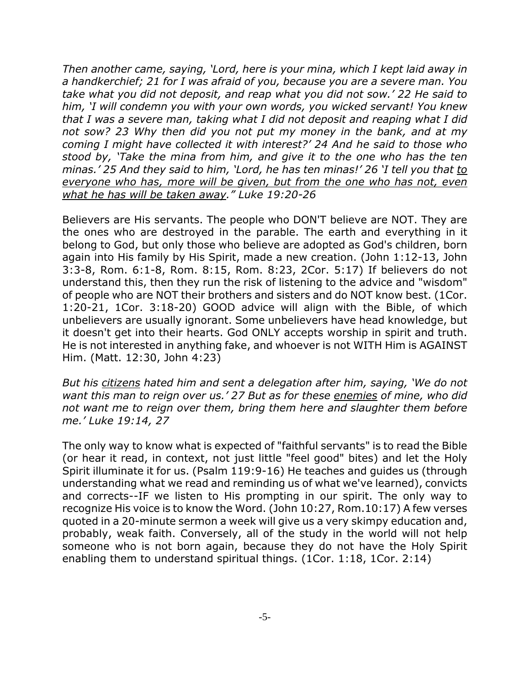*Then another came, saying, 'Lord, here is your mina, which I kept laid away in a handkerchief; 21 for I was afraid of you, because you are a severe man. You take what you did not deposit, and reap what you did not sow.' 22 He said to him, 'I will condemn you with your own words, you wicked servant! You knew that I was a severe man, taking what I did not deposit and reaping what I did not sow? 23 Why then did you not put my money in the bank, and at my coming I might have collected it with interest?' 24 And he said to those who stood by, 'Take the mina from him, and give it to the one who has the ten minas.' 25 And they said to him, 'Lord, he has ten minas!' 26 'I tell you that to everyone who has, more will be given, but from the one who has not, even what he has will be taken away." Luke 19:20-26*

Believers are His servants. The people who DON'T believe are NOT. They are the ones who are destroyed in the parable. The earth and everything in it belong to God, but only those who believe are adopted as God's children, born again into His family by His Spirit, made a new creation. (John 1:12-13, John 3:3-8, Rom. 6:1-8, Rom. 8:15, Rom. 8:23, 2Cor. 5:17) If believers do not understand this, then they run the risk of listening to the advice and "wisdom" of people who are NOT their brothers and sisters and do NOT know best. (1Cor. 1:20-21, 1Cor. 3:18-20) GOOD advice will align with the Bible, of which unbelievers are usually ignorant. Some unbelievers have head knowledge, but it doesn't get into their hearts. God ONLY accepts worship in spirit and truth. He is not interested in anything fake, and whoever is not WITH Him is AGAINST Him. (Matt. 12:30, John 4:23)

*But his citizens hated him and sent a delegation after him, saying, 'We do not want this man to reign over us.' 27 But as for these enemies of mine, who did not want me to reign over them, bring them here and slaughter them before me.' Luke 19:14, 27*

The only way to know what is expected of "faithful servants" is to read the Bible (or hear it read, in context, not just little "feel good" bites) and let the Holy Spirit illuminate it for us. (Psalm 119:9-16) He teaches and guides us (through understanding what we read and reminding us of what we've learned), convicts and corrects--IF we listen to His prompting in our spirit. The only way to recognize His voice is to know the Word. (John 10:27, Rom.10:17) A few verses quoted in a 20-minute sermon a week will give us a very skimpy education and, probably, weak faith. Conversely, all of the study in the world will not help someone who is not born again, because they do not have the Holy Spirit enabling them to understand spiritual things. (1Cor. 1:18, 1Cor. 2:14)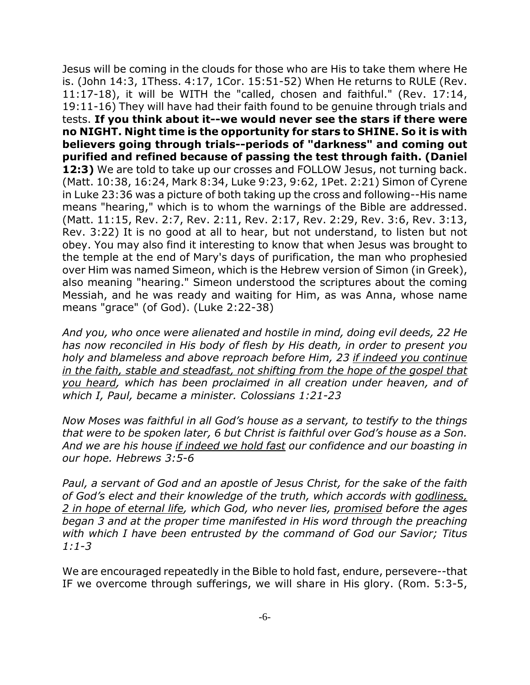Jesus will be coming in the clouds for those who are His to take them where He is. (John 14:3, 1Thess. 4:17, 1Cor. 15:51-52) When He returns to RULE (Rev. 11:17-18), it will be WITH the "called, chosen and faithful." (Rev. 17:14, 19:11-16) They will have had their faith found to be genuine through trials and tests. **If you think about it--we would never see the stars if there were no NIGHT. Night time is the opportunity for stars to SHINE. So it is with believers going through trials--periods of "darkness" and coming out purified and refined because of passing the test through faith. (Daniel 12:3)** We are told to take up our crosses and FOLLOW Jesus, not turning back. (Matt. 10:38, 16:24, Mark 8:34, Luke 9:23, 9:62, 1Pet. 2:21) Simon of Cyrene in Luke 23:36 was a picture of both taking up the cross and following--His name means "hearing," which is to whom the warnings of the Bible are addressed. (Matt. 11:15, Rev. 2:7, Rev. 2:11, Rev. 2:17, Rev. 2:29, Rev. 3:6, Rev. 3:13, Rev. 3:22) It is no good at all to hear, but not understand, to listen but not obey. You may also find it interesting to know that when Jesus was brought to the temple at the end of Mary's days of purification, the man who prophesied over Him was named Simeon, which is the Hebrew version of Simon (in Greek), also meaning "hearing." Simeon understood the scriptures about the coming Messiah, and he was ready and waiting for Him, as was Anna, whose name means "grace" (of God). (Luke 2:22-38)

*And you, who once were alienated and hostile in mind, doing evil deeds, 22 He has now reconciled in His body of flesh by His death, in order to present you holy and blameless and above reproach before Him, 23 if indeed you continue in the faith, stable and steadfast, not shifting from the hope of the gospel that you heard, which has been proclaimed in all creation under heaven, and of which I, Paul, became a minister. Colossians 1:21-23*

*Now Moses was faithful in all God's house as a servant, to testify to the things that were to be spoken later, 6 but Christ is faithful over God's house as a Son. And we are his house if indeed we hold fast our confidence and our boasting in our hope. Hebrews 3:5-6*

*Paul, a servant of God and an apostle of Jesus Christ, for the sake of the faith of God's elect and their knowledge of the truth, which accords with godliness, 2 in hope of eternal life, which God, who never lies, promised before the ages began 3 and at the proper time manifested in His word through the preaching with which I have been entrusted by the command of God our Savior; Titus 1:1-3*

We are encouraged repeatedly in the Bible to hold fast, endure, persevere--that IF we overcome through sufferings, we will share in His glory. (Rom. 5:3-5,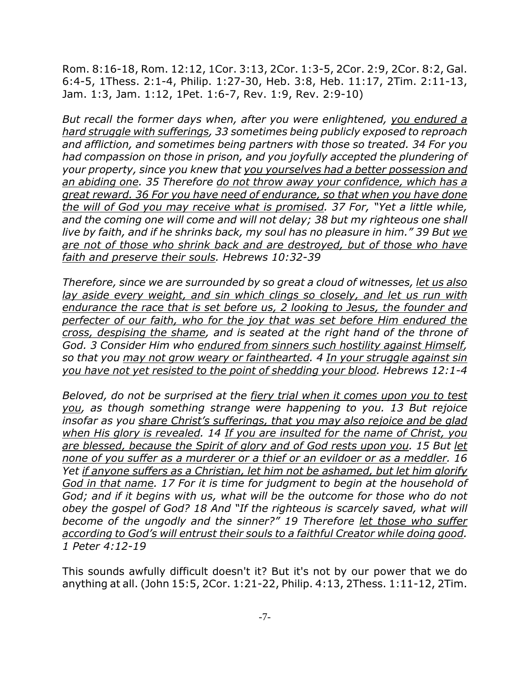Rom. 8:16-18, Rom. 12:12, 1Cor. 3:13, 2Cor. 1:3-5, 2Cor. 2:9, 2Cor. 8:2, Gal. 6:4-5, 1Thess. 2:1-4, Philip. 1:27-30, Heb. 3:8, Heb. 11:17, 2Tim. 2:11-13, Jam. 1:3, Jam. 1:12, 1Pet. 1:6-7, Rev. 1:9, Rev. 2:9-10)

*But recall the former days when, after you were enlightened, you endured a hard struggle with sufferings, 33 sometimes being publicly exposed to reproach and affliction, and sometimes being partners with those so treated. 34 For you had compassion on those in prison, and you joyfully accepted the plundering of your property, since you knew that you yourselves had a better possession and an abiding one. 35 Therefore do not throw away your confidence, which has a great reward. 36 For you have need of endurance, so that when you have done the will of God you may receive what is promised. 37 For, "Yet a little while, and the coming one will come and will not delay; 38 but my righteous one shall live by faith, and if he shrinks back, my soul has no pleasure in him." 39 But we are not of those who shrink back and are destroyed, but of those who have faith and preserve their souls. Hebrews 10:32-39*

*Therefore, since we are surrounded by so great a cloud of witnesses, let us also lay aside every weight, and sin which clings so closely, and let us run with endurance the race that is set before us, 2 looking to Jesus, the founder and perfecter of our faith, who for the joy that was set before Him endured the cross, despising the shame, and is seated at the right hand of the throne of God. 3 Consider Him who endured from sinners such hostility against Himself, so that you may not grow weary or fainthearted. 4 In your struggle against sin you have not yet resisted to the point of shedding your blood. Hebrews 12:1-4*

*Beloved, do not be surprised at the fiery trial when it comes upon you to test you, as though something strange were happening to you. 13 But rejoice insofar as you share Christ's sufferings, that you may also rejoice and be glad when His glory is revealed. 14 If you are insulted for the name of Christ, you are blessed, because the Spirit of glory and of God rests upon you. 15 But let none of you suffer as a murderer or a thief or an evildoer or as a meddler. 16 Yet if anyone suffers as a Christian, let him not be ashamed, but let him glorify God in that name. 17 For it is time for judgment to begin at the household of God; and if it begins with us, what will be the outcome for those who do not obey the gospel of God? 18 And "If the righteous is scarcely saved, what will become of the ungodly and the sinner?" 19 Therefore let those who suffer according to God's will entrust their souls to a faithful Creator while doing good. 1 Peter 4:12-19*

This sounds awfully difficult doesn't it? But it's not by our power that we do anything at all. (John 15:5, 2Cor. 1:21-22, Philip. 4:13, 2Thess. 1:11-12, 2Tim.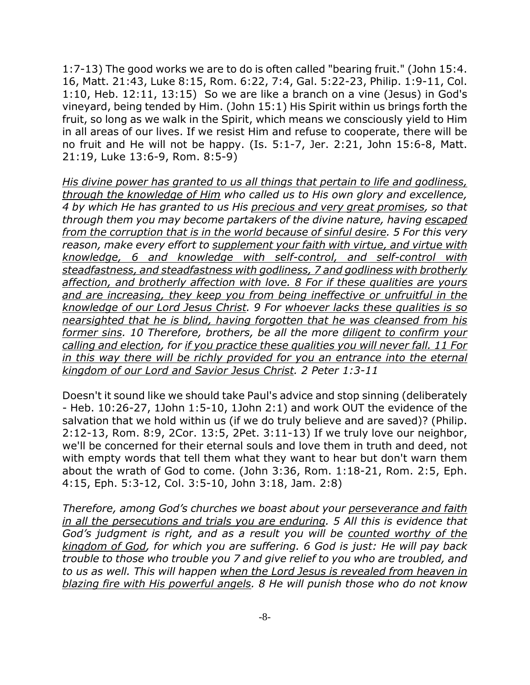1:7-13) The good works we are to do is often called "bearing fruit." (John 15:4. 16, Matt. 21:43, Luke 8:15, Rom. 6:22, 7:4, Gal. 5:22-23, Philip. 1:9-11, Col. 1:10, Heb. 12:11, 13:15) So we are like a branch on a vine (Jesus) in God's vineyard, being tended by Him. (John 15:1) His Spirit within us brings forth the fruit, so long as we walk in the Spirit, which means we consciously yield to Him in all areas of our lives. If we resist Him and refuse to cooperate, there will be no fruit and He will not be happy. (Is. 5:1-7, Jer. 2:21, John 15:6-8, Matt. 21:19, Luke 13:6-9, Rom. 8:5-9)

*His divine power has granted to us all things that pertain to life and godliness, through the knowledge of Him who called us to His own glory and excellence, 4 by which He has granted to us His precious and very great promises, so that through them you may become partakers of the divine nature, having escaped from the corruption that is in the world because of sinful desire. 5 For this very reason, make every effort to supplement your faith with virtue, and virtue with knowledge, 6 and knowledge with self-control, and self-control with steadfastness, and steadfastness with godliness, 7 and godliness with brotherly affection, and brotherly affection with love. 8 For if these qualities are yours and are increasing, they keep you from being ineffective or unfruitful in the knowledge of our Lord Jesus Christ. 9 For whoever lacks these qualities is so nearsighted that he is blind, having forgotten that he was cleansed from his former sins. 10 Therefore, brothers, be all the more diligent to confirm your calling and election, for if you practice these qualities you will never fall. 11 For in this way there will be richly provided for you an entrance into the eternal kingdom of our Lord and Savior Jesus Christ. 2 Peter 1:3-11*

Doesn't it sound like we should take Paul's advice and stop sinning (deliberately - Heb. 10:26-27, 1John 1:5-10, 1John 2:1) and work OUT the evidence of the salvation that we hold within us (if we do truly believe and are saved)? (Philip. 2:12-13, Rom. 8:9, 2Cor. 13:5, 2Pet. 3:11-13) If we truly love our neighbor, we'll be concerned for their eternal souls and love them in truth and deed, not with empty words that tell them what they want to hear but don't warn them about the wrath of God to come. (John 3:36, Rom. 1:18-21, Rom. 2:5, Eph. 4:15, Eph. 5:3-12, Col. 3:5-10, John 3:18, Jam. 2:8)

*Therefore, among God's churches we boast about your perseverance and faith in all the persecutions and trials you are enduring. 5 All this is evidence that God's judgment is right, and as a result you will be counted worthy of the kingdom of God, for which you are suffering. 6 God is just: He will pay back trouble to those who trouble you 7 and give relief to you who are troubled, and to us as well. This will happen when the Lord Jesus is revealed from heaven in blazing fire with His powerful angels. 8 He will punish those who do not know*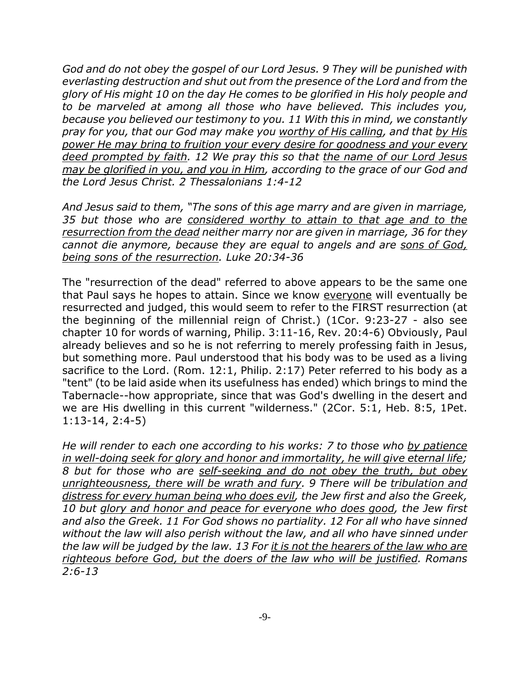*God and do not obey the gospel of our Lord Jesus. 9 They will be punished with everlasting destruction and shut out from the presence of the Lord and from the glory of His might 10 on the day He comes to be glorified in His holy people and to be marveled at among all those who have believed. This includes you, because you believed our testimony to you. 11 With this in mind, we constantly pray for you, that our God may make you worthy of His calling, and that by His power He may bring to fruition your every desire for goodness and your every deed prompted by faith. 12 We pray this so that the name of our Lord Jesus may be glorified in you, and you in Him, according to the grace of our God and the Lord Jesus Christ. 2 Thessalonians 1:4-12*

*And Jesus said to them, "The sons of this age marry and are given in marriage, 35 but those who are considered worthy to attain to that age and to the resurrection from the dead neither marry nor are given in marriage, 36 for they cannot die anymore, because they are equal to angels and are sons of God, being sons of the resurrection. Luke 20:34-36*

The "resurrection of the dead" referred to above appears to be the same one that Paul says he hopes to attain. Since we know everyone will eventually be resurrected and judged, this would seem to refer to the FIRST resurrection (at the beginning of the millennial reign of Christ.) (1Cor. 9:23-27 - also see chapter 10 for words of warning, Philip. 3:11-16, Rev. 20:4-6) Obviously, Paul already believes and so he is not referring to merely professing faith in Jesus, but something more. Paul understood that his body was to be used as a living sacrifice to the Lord. (Rom. 12:1, Philip. 2:17) Peter referred to his body as a "tent" (to be laid aside when its usefulness has ended) which brings to mind the Tabernacle--how appropriate, since that was God's dwelling in the desert and we are His dwelling in this current "wilderness." (2Cor. 5:1, Heb. 8:5, 1Pet. 1:13-14, 2:4-5)

*He will render to each one according to his works: 7 to those who by patience in well-doing seek for glory and honor and immortality, he will give eternal life; 8 but for those who are self-seeking and do not obey the truth, but obey unrighteousness, there will be wrath and fury. 9 There will be tribulation and distress for every human being who does evil, the Jew first and also the Greek, 10 but glory and honor and peace for everyone who does good, the Jew first and also the Greek. 11 For God shows no partiality. 12 For all who have sinned without the law will also perish without the law, and all who have sinned under the law will be judged by the law. 13 For it is not the hearers of the law who are righteous before God, but the doers of the law who will be justified. Romans 2:6-13*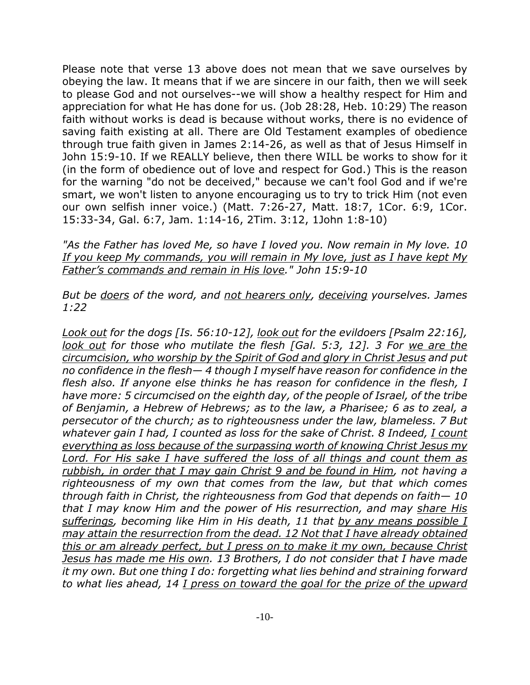Please note that verse 13 above does not mean that we save ourselves by obeying the law. It means that if we are sincere in our faith, then we will seek to please God and not ourselves--we will show a healthy respect for Him and appreciation for what He has done for us. (Job 28:28, Heb. 10:29) The reason faith without works is dead is because without works, there is no evidence of saving faith existing at all. There are Old Testament examples of obedience through true faith given in James 2:14-26, as well as that of Jesus Himself in John 15:9-10. If we REALLY believe, then there WILL be works to show for it (in the form of obedience out of love and respect for God.) This is the reason for the warning "do not be deceived," because we can't fool God and if we're smart, we won't listen to anyone encouraging us to try to trick Him (not even our own selfish inner voice.) (Matt. 7:26-27, Matt. 18:7, 1Cor. 6:9, 1Cor. 15:33-34, Gal. 6:7, Jam. 1:14-16, 2Tim. 3:12, 1John 1:8-10)

*"As the Father has loved Me, so have I loved you. Now remain in My love. 10 If you keep My commands, you will remain in My love, just as I have kept My Father's commands and remain in His love." John 15:9-10*

*But be doers of the word, and not hearers only, deceiving yourselves. James 1:22*

*Look out for the dogs [Is. 56:10-12], look out for the evildoers [Psalm 22:16], look out for those who mutilate the flesh [Gal. 5:3, 12]. 3 For we are the circumcision, who worship by the Spirit of God and glory in Christ Jesus and put no confidence in the flesh— 4 though I myself have reason for confidence in the flesh also. If anyone else thinks he has reason for confidence in the flesh, I have more: 5 circumcised on the eighth day, of the people of Israel, of the tribe of Benjamin, a Hebrew of Hebrews; as to the law, a Pharisee; 6 as to zeal, a persecutor of the church; as to righteousness under the law, blameless. 7 But whatever gain I had, I counted as loss for the sake of Christ. 8 Indeed, I count everything as loss because of the surpassing worth of knowing Christ Jesus my Lord. For His sake I have suffered the loss of all things and count them as rubbish, in order that I may gain Christ 9 and be found in Him, not having a righteousness of my own that comes from the law, but that which comes through faith in Christ, the righteousness from God that depends on faith— 10 that I may know Him and the power of His resurrection, and may share His sufferings, becoming like Him in His death, 11 that by any means possible I may attain the resurrection from the dead. 12 Not that I have already obtained this or am already perfect, but I press on to make it my own, because Christ Jesus has made me His own. 13 Brothers, I do not consider that I have made it my own. But one thing I do: forgetting what lies behind and straining forward to what lies ahead, 14 I press on toward the goal for the prize of the upward*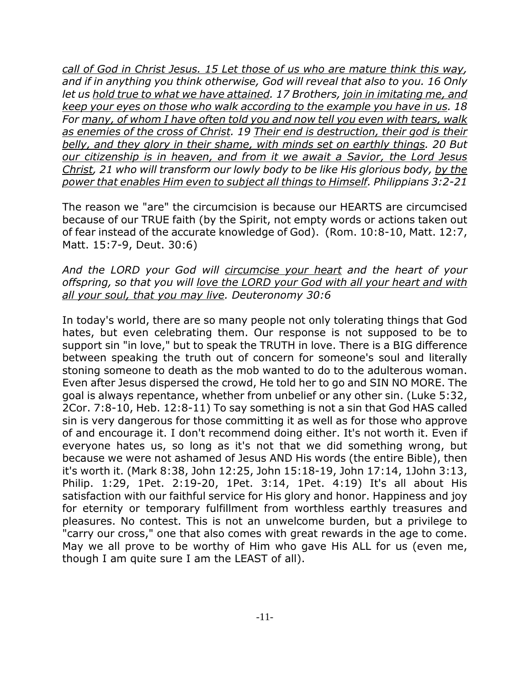*call of God in Christ Jesus. 15 Let those of us who are mature think this way, and if in anything you think otherwise, God will reveal that also to you. 16 Only let us hold true to what we have attained. 17 Brothers, join in imitating me, and keep your eyes on those who walk according to the example you have in us. 18 For many, of whom I have often told you and now tell you even with tears, walk as enemies of the cross of Christ. 19 Their end is destruction, their god is their belly, and they glory in their shame, with minds set on earthly things. 20 But our citizenship is in heaven, and from it we await a Savior, the Lord Jesus Christ, 21 who will transform our lowly body to be like His glorious body, by the power that enables Him even to subject all things to Himself. Philippians 3:2-21*

The reason we "are" the circumcision is because our HEARTS are circumcised because of our TRUE faith (by the Spirit, not empty words or actions taken out of fear instead of the accurate knowledge of God). (Rom. 10:8-10, Matt. 12:7, Matt. 15:7-9, Deut. 30:6)

*And the LORD your God will circumcise your heart and the heart of your offspring, so that you will love the LORD your God with all your heart and with all your soul, that you may live. Deuteronomy 30:6*

In today's world, there are so many people not only tolerating things that God hates, but even celebrating them. Our response is not supposed to be to support sin "in love," but to speak the TRUTH in love. There is a BIG difference between speaking the truth out of concern for someone's soul and literally stoning someone to death as the mob wanted to do to the adulterous woman. Even after Jesus dispersed the crowd, He told her to go and SIN NO MORE. The goal is always repentance, whether from unbelief or any other sin. (Luke 5:32, 2Cor. 7:8-10, Heb. 12:8-11) To say something is not a sin that God HAS called sin is very dangerous for those committing it as well as for those who approve of and encourage it. I don't recommend doing either. It's not worth it. Even if everyone hates us, so long as it's not that we did something wrong, but because we were not ashamed of Jesus AND His words (the entire Bible), then it's worth it. (Mark 8:38, John 12:25, John 15:18-19, John 17:14, 1John 3:13, Philip. 1:29, 1Pet. 2:19-20, 1Pet. 3:14, 1Pet. 4:19) It's all about His satisfaction with our faithful service for His glory and honor. Happiness and joy for eternity or temporary fulfillment from worthless earthly treasures and pleasures. No contest. This is not an unwelcome burden, but a privilege to "carry our cross," one that also comes with great rewards in the age to come. May we all prove to be worthy of Him who gave His ALL for us (even me, though I am quite sure I am the LEAST of all).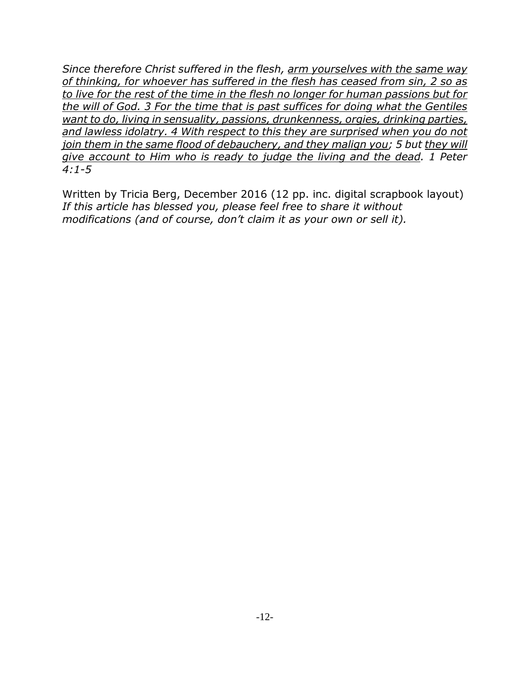*Since therefore Christ suffered in the flesh, arm yourselves with the same way of thinking, for whoever has suffered in the flesh has ceased from sin, 2 so as to live for the rest of the time in the flesh no longer for human passions but for the will of God. 3 For the time that is past suffices for doing what the Gentiles want to do, living in sensuality, passions, drunkenness, orgies, drinking parties, and lawless idolatry. 4 With respect to this they are surprised when you do not join them in the same flood of debauchery, and they malign you; 5 but they will give account to Him who is ready to judge the living and the dead. 1 Peter 4:1-5*

Written by Tricia Berg, December 2016 (12 pp. inc. digital scrapbook layout) *If this article has blessed you, please feel free to share it without modifications (and of course, don't claim it as your own or sell it).*